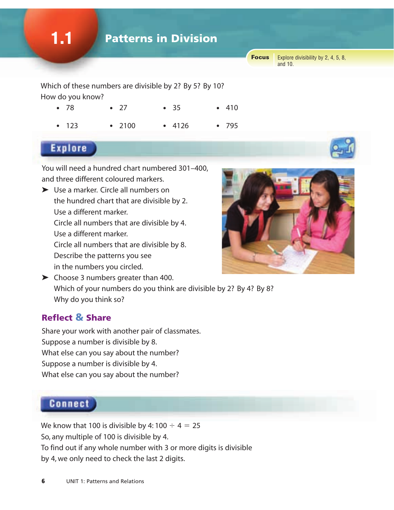

Which of these numbers are divisible by 2? By 5? By 10? How do you know?

| $\bullet$ 78 | $\bullet$ 27 | • 35   | $-410$ |
|--------------|--------------|--------|--------|
| • 123        | • 2100       | • 4126 | •795   |

# **Explore**

You will need a hundred chart numbered 301–400, and three different coloured markers.

- ➤ Use a marker. Circle all numbers on the hundred chart that are divisible by 2. Use a different marker. Circle all numbers that are divisible by 4. Use a different marker. Circle all numbers that are divisible by 8. Describe the patterns you see in the numbers you circled.
- ➤ Choose 3 numbers greater than 400. Which of your numbers do you think are divisible by 2? By 4? By 8? Why do you think so?

#### Reflect & Share

Share your work with another pair of classmates. Suppose a number is divisible by 8. What else can you say about the number? Suppose a number is divisible by 4. What else can you say about the number?

# **Connect**

We know that 100 is divisible by 4:100  $\div$  4 = 25 So, any multiple of 100 is divisible by 4. To find out if any whole number with 3 or more digits is divisible by 4, we only need to check the last 2 digits.



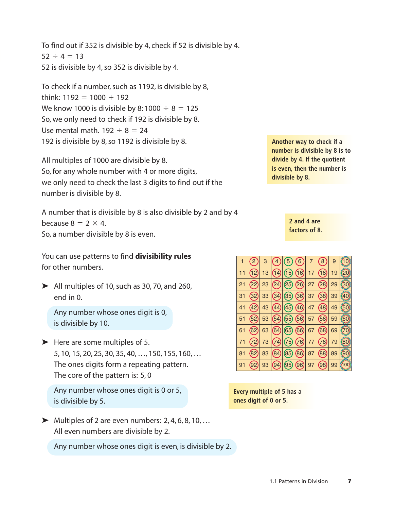To find out if 352 is divisible by 4, check if 52 is divisible by 4.  $52 \div 4 = 13$ 52 is divisible by 4, so 352 is divisible by 4.

To check if a number, such as 1192, is divisible by 8, think:  $1192 = 1000 + 192$ We know 1000 is divisible by 8:1000  $\div$  8 = 125 So, we only need to check if 192 is divisible by 8. Use mental math.  $192 \div 8 = 24$ 192 is divisible by 8, so 1192 is divisible by 8.

All multiples of 1000 are divisible by 8. So, for any whole number with 4 or more digits, we only need to check the last 3 digits to find out if the number is divisible by 8.

A number that is divisible by 8 is also divisible by 2 and by 4 because  $8 = 2 \times 4$ . So, a number divisible by 8 is even.

You can use patterns to find **divisibility rules** for other numbers.

 $\blacktriangleright$  All multiples of 10, such as 30, 70, and 260, end in 0.

Any number whose ones digit is 0, is divisible by 10.

 $\blacktriangleright$  Here are some multiples of 5. 5, 10, 15, 20, 25, 30, 35, 40, …, 150, 155, 160, … The ones digits form a repeating pattern. The core of the pattern is: 5, 0

Any number whose ones digit is 0 or 5, is divisible by 5.

 $\blacktriangleright$  Multiples of 2 are even numbers: 2, 4, 6, 8, 10, ... All even numbers are divisible by 2.

Any number whose ones digit is even, is divisible by 2.

**Another way to check if a number is divisible by 8 is to divide by 4. If the quotient is even, then the number is divisible by 8.**

> **2 and 4 are factors of 8.**



**Every multiple of 5 has a ones digit of 0 or 5.**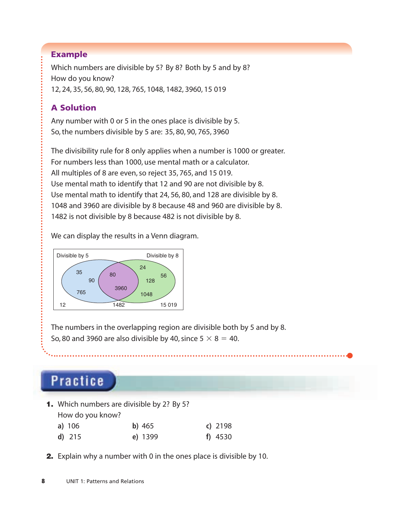#### Example

Which numbers are divisible by 5? By 8? Both by 5 and by 8? How do you know? 12, 24, 35, 56, 80, 90, 128, 765, 1048, 1482, 3960, 15 019

### A Solution

Any number with 0 or 5 in the ones place is divisible by 5. So, the numbers divisible by 5 are: 35, 80, 90, 765, 3960

The divisibility rule for 8 only applies when a number is 1000 or greater. For numbers less than 1000, use mental math or a calculator. All multiples of 8 are even, so reject 35, 765, and 15 019. Use mental math to identify that 12 and 90 are not divisible by 8. Use mental math to identify that 24, 56, 80, and 128 are divisible by 8. 1048 and 3960 are divisible by 8 because 48 and 960 are divisible by 8. 1482 is not divisible by 8 because 482 is not divisible by 8.

We can display the results in a Venn diagram.



The numbers in the overlapping region are divisible both by 5 and by 8. So, 80 and 3960 are also divisible by 40, since  $5 \times 8 = 40$ .

# **Practice**

1. Which numbers are divisible by 2? By 5?

How do you know?

| a) $106$ | $b)$ 465 | $c)$ 2198 |
|----------|----------|-----------|
| $d)$ 215 | e) 1399  | f) $4530$ |

**2.** Explain why a number with 0 in the ones place is divisible by 10.